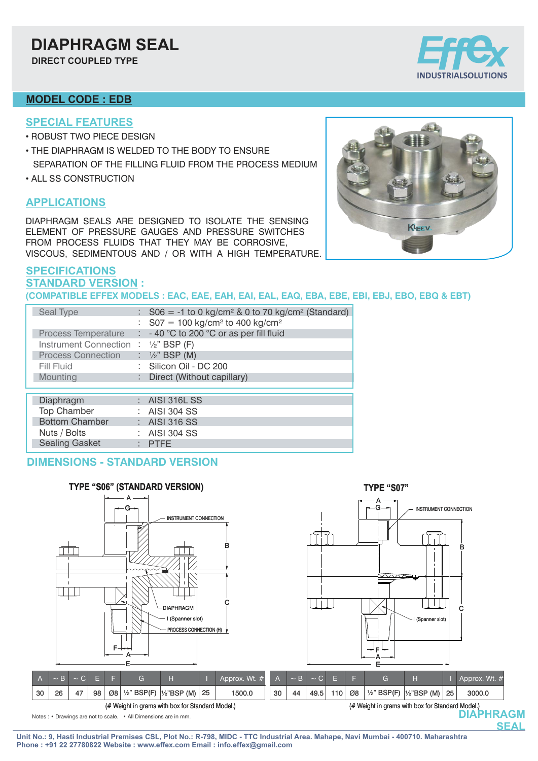# **DIAPHRAGM SEAL**

**DIRECT COUPLED TYPE**

#### **MODEL CODE : EDB**

- **SPECIAL FEATURES**
- ROBUST TWO PIECE DESIGN
- THE DIAPHRAGM IS WELDED TO THE BODY TO ENSURE
- SEPARATION OF THE FILLING FLUID FROM THE PROCESS MEDIUM
- ALL SS CONSTRUCTION

#### **APPLICATIONS**

DIAPHRAGM SEALS ARE DESIGNED TO ISOLATE THE SENSING ELEMENT OF PRESSURE GAUGES AND PRESSURE SWITCHES FROM PROCESS FLUIDS THAT THEY MAY BE CORROSIVE, VISCOUS, SEDIMENTOUS AND / OR WITH A HIGH TEMPERATURE.

#### **SPECIFICATIONS STANDARD VERSION : (COMPATIBLE EFFEX MODELS : EAC, EAE, EAH, EAI, EAL, EAQ, EBA, EBE, EBI, EBJ, EBO, EBQ & EBT)**

| Seal Type                            | $\therefore$ S06 = -1 to 0 kg/cm <sup>2</sup> & 0 to 70 kg/cm <sup>2</sup> (Standard) |
|--------------------------------------|---------------------------------------------------------------------------------------|
|                                      | : $S07 = 100$ kg/cm <sup>2</sup> to 400 kg/cm <sup>2</sup>                            |
| Process Temperature                  | $\therefore$ - 40 °C to 200 °C or as per fill fluid                                   |
| Instrument Connection : 1/2" BSP (F) |                                                                                       |
| <b>Process Connection</b>            | : $\frac{1}{2}$ " BSP (M)                                                             |
| Fill Fluid                           | : Silicon Oil - DC 200                                                                |
| Mounting                             | : Direct (Without capillary)                                                          |
|                                      |                                                                                       |
| Diaphragm                            | : AISI 316L SS                                                                        |
| <b>Top Chamber</b>                   | $\therefore$ AISI 304 SS                                                              |
| <b>Bottom Chamber</b>                | $\therefore$ AISI 316 SS                                                              |
| Nuts / Bolts                         | : AISI 304 SS                                                                         |
| <b>Sealing Gasket</b>                | $:$ PTFE                                                                              |

### **DIMENSIONS - STANDARD VERSION**



**Unit No.: 9, Hasti Industrial Premises CSL, Plot No.: R-798, MIDC - TTC Industrial Area. Mahape, Navi Mumbai - 400710. Maharashtra Phone : +91 22 27780822 Website : www.effex.com Email : info.effex@gmail.com**